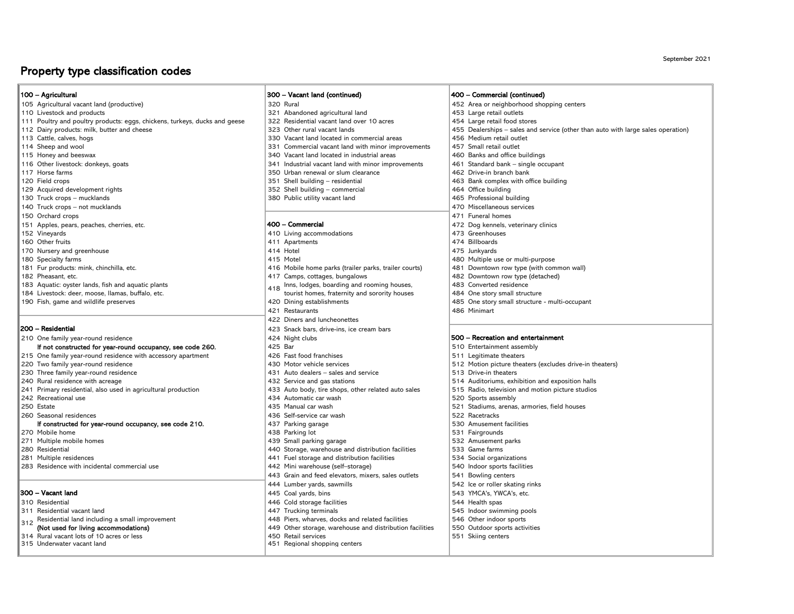## Property type classification codes

#### 100 – Agricultural

- 
- 
- 111 Poultry and poultry products: eggs, chickens, turkeys, ducks and geese 322 Residential vacant land over 10 acres 454 Large retail food stores 323 Other rural vacant lands 455 Dealerships sales and
- 112 Dairy products: milk, butter and cheese 113 Other rural vacant lands 323 Other rural vacant lands 455 Dealerships sales and service (other than auto with large sales operation)<br>113 Cattle, calves, hogs and service is
- 
- 
- 
- 
- 
- 
- 129 Acquired development rights 352 Shell building commercial 352 Shell building commercial 464 Office building
- 
- 140 Truck crops not mucklands 470 Miscellaneous services
- 150 Orchard crops 471 Funeral homes
- 151 Apples, pears, peaches, cherries, etc.  $400 -$ Commercial  $400 -$ Commercial  $400 -$  Commercial  $472$  Dog kennels, veterinary clinics
- 
- 
- 170 Nursery and greenhouse the state of the state and the state and the state and the state and the state and the state and the state and the state and the state and the state and the state and the state and the state and
- 
- 
- 
- 
- 

#### 200 – Residential

210 One family year-round residence and the state and the state and the 424 Night clubs

# If not constructed for year-round occupancy, see code 260.  $\vert$  425 Bar  $\vert$  426 Fast food franchises  $\vert$  510 Entertainment assembly  $\vert$  510 Entertainment assembly

- 215 One family year-round residence with accessory apartment 426 Fast food franchises 511 Legitimate theaters
- 220 Two family year-round residence example and the services and services and service and service and service service and service and service and service and service service service service service and service service and
- 
- 240 Rural residence with acreage and agricultural production and exposition and exposition halls and exposition halls and the stations and motion picture studios and motion picture studios and motion picture studios and mo
- 241 Primary residential, also used in agricultural production and the studios are and motion 433 Auto body, tire shops, other related auto sales 515 Radio, television and motion picture studios and motion picture studios a
- 
- 

### 260 Seasonal residences 436 Self-service car wash 522 Racetracks 522 Racetracks 526 Self-service car wash 522 Racetracks 530 Amusement facilities If constructed for year-round occupancy, see code 210.  $\vert$  437 Parking garage

- 
- 
- 
- 281 Multiple residences 4534 Social organizations and the storage and distribution facilities 534 Social organizations and istribution facilities 534 Social organizations and istribution facilities 534 Social organizations 283 Residence with incidental commercial use 442 Mini warehouse (self–storage) 540 Indoor sports facilities

#### 300 – Vacant land

- 
- 311 Residential vacant land 447 Trucking terminals 545 Indoor swimming pools
- Residential land including a small improvement 448 Piers, wharves, docks and related facilities 546 Other indoor sports
- 
- $314$  Rural vacant lots of 10 acres or less  $315$  Linderwater vacant land

#### 300 – Vacant land (continued) 400 – Commercial (continued)

- 
- 110 Livestock and products 321 Abandoned agricultural land 453 Large retail outlets
	-
	-
	- 330 Vacant land located in commercial areas
- 114 Sheep and wool **114 Sheep and wool** 331 Commercial vacant land with minor improvements 457 Small retail outlet
- 115 Honey and beeswax 340 Vacant land located in industrial areas 460 Banks and office buildings
- 116 Other livestock: donkeys, goats **341 Industrial vacant land with minor improvements** 461 Standard bank single occupant 350 Urban renewal or slum clearance
	- 117 Horse farms 350 Urban renewal or slum clearance<br>1510 Shell building residential
- 120 Field crops 120 Shell building residential 120 Field crops and the state of the state of the state of the state of the state of the state of the state of the state of the state of the state of the state of the state
	-
- 130 Truck crops mucklands and the state of the state of the state of the state of the state of the state of the state of the state of the state of the state of the state of the state of the state of the state of the stat

#### 400 – Commercial

- 152 Vineyards **152 Server 1988** 410 Living accommodations **410 Living accommodations** 473 Greenhouses
- 160 Other fruits **160 Automobile 160 Other fruits 160 Other fruits 474 Billboards** 
	-
- 180 Specialty farms and the set of the set of the set of the set of the set of the set of the set of the set of the set of the set of the set of the set of the set of the set of the set of the set of the set of the set of
- 181 Fur products: mink, chinchilla, etc. 416 Mobile home parks (trailer parks, trailer courts) 481 Downtown row type (with common wall)
- 182 Pheasant, etc. **417 Camps, cottages, bungalows** 482 Downtown row type (detached)
- 183 Aquatic: oyster lands, fish and aquatic plants **Inns, lodges, boarding and rooming houses**, **1483** Converted residence
- 184 Livestock: deer, moose, Ilamas, buffalo, etc. tourist homes, fraternity and sorority houses and wildlife preserves and sorority houses and wildlife preserves and social structure and wildlife preserves and structure an
	-
	- 421 Restaurants 486 Minimart
	- 422 Diners and luncheonettes
	- 423 Snack bars, drive-ins, ice cream bars
	-
	-
	-
	-
- 230 Three family year-round residence example and the state and service and service 513 Drive-in theaters
	-
	-
	- 434 Automatic car wash
- 250 Estate 1991 residences the 1992 metal and the 1993 Manual car wash 1993 metal and the 1993 arenas, armories, field houses 1996 and the 1999 metal and the 1999 metal and the 1999 metal and the 1999 metal and the 1999 me
	-
	-
- 270 Mobile home 531 Fairgrounds (Alternative State of Assembly 1938 Parking lot the State of State State State State State State State State State State State State State State State State State State State State State Sta
	-
- 271 Multiple mobile homes example and the state of the state of the state of the state of the state of the state of the state of the state of the state of the state of the state of the state of the state of the state of th 280 Residential **1200 Residential** 440 Storage, warehouse and distribution facilities
	-
	-
	- 443 Grain and feed elevators, mixers, sales outlets | 541 Bowling centers
	- 444 Lumber yards, sawmills 542 Ice or roller skating rinks
	- 445 Coal yards, bins 543 YMCA's, YWCA's, etc.
- 310 Residential 310 Residential 446 Cold storage facilities 311 Residential 446 Cold storage facilities 311 Residential vacant land 544 Health spas 311 Residential vacant land 545 Indoor swim
	-
	-
	- (Not used for living accommodations) <br>Rural vacant lots of 10 acres or less exercises and the storage, warehouse and distribution facilities 550 Outdoor sports activities<br>450 Retail services and distribution facilities 551
		-
		- 451 Regional shopping centers

105 Agricultural vacant land (productive) 320 Rural 320 Rural 320 Rural 452 Area or neighborhood shopping centers

September 2021

485 One story small structure - multi-occupant

500 – Recreation and entertainment